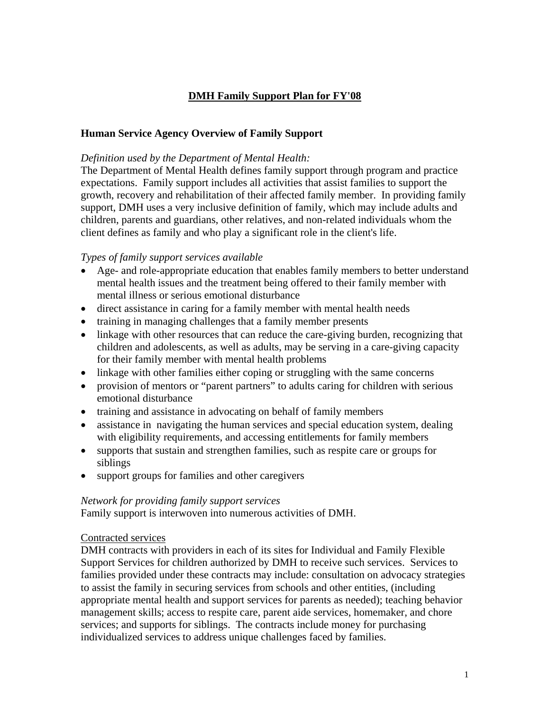# **DMH Family Support Plan for FY'08**

### **Human Service Agency Overview of Family Support**

### *Definition used by the Department of Mental Health:*

The Department of Mental Health defines family support through program and practice expectations. Family support includes all activities that assist families to support the growth, recovery and rehabilitation of their affected family member. In providing family support, DMH uses a very inclusive definition of family, which may include adults and children, parents and guardians, other relatives, and non-related individuals whom the client defines as family and who play a significant role in the client's life.

#### *Types of family support services available*

- Age- and role-appropriate education that enables family members to better understand mental health issues and the treatment being offered to their family member with mental illness or serious emotional disturbance
- direct assistance in caring for a family member with mental health needs
- training in managing challenges that a family member presents
- linkage with other resources that can reduce the care-giving burden, recognizing that children and adolescents, as well as adults, may be serving in a care-giving capacity for their family member with mental health problems
- linkage with other families either coping or struggling with the same concerns
- provision of mentors or "parent partners" to adults caring for children with serious emotional disturbance
- training and assistance in advocating on behalf of family members
- assistance in navigating the human services and special education system, dealing with eligibility requirements, and accessing entitlements for family members
- supports that sustain and strengthen families, such as respite care or groups for siblings
- support groups for families and other caregivers

#### *Network for providing family support services*

Family support is interwoven into numerous activities of DMH.

#### Contracted services

DMH contracts with providers in each of its sites for Individual and Family Flexible Support Services for children authorized by DMH to receive such services. Services to families provided under these contracts may include: consultation on advocacy strategies to assist the family in securing services from schools and other entities, (including appropriate mental health and support services for parents as needed); teaching behavior management skills; access to respite care, parent aide services, homemaker, and chore services; and supports for siblings. The contracts include money for purchasing individualized services to address unique challenges faced by families.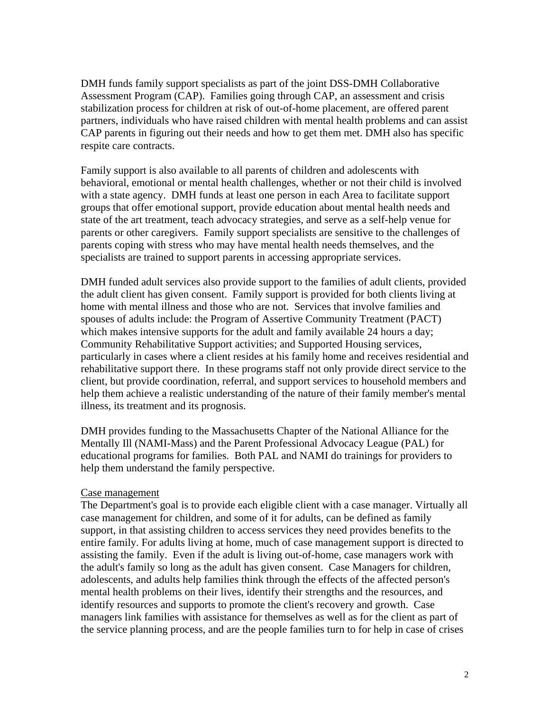DMH funds family support specialists as part of the joint DSS-DMH Collaborative Assessment Program (CAP). Families going through CAP, an assessment and crisis stabilization process for children at risk of out-of-home placement, are offered parent partners, individuals who have raised children with mental health problems and can assist CAP parents in figuring out their needs and how to get them met. DMH also has specific respite care contracts.

Family support is also available to all parents of children and adolescents with behavioral, emotional or mental health challenges, whether or not their child is involved with a state agency. DMH funds at least one person in each Area to facilitate support groups that offer emotional support, provide education about mental health needs and state of the art treatment, teach advocacy strategies, and serve as a self-help venue for parents or other caregivers. Family support specialists are sensitive to the challenges of parents coping with stress who may have mental health needs themselves, and the specialists are trained to support parents in accessing appropriate services.

DMH funded adult services also provide support to the families of adult clients, provided the adult client has given consent. Family support is provided for both clients living at home with mental illness and those who are not. Services that involve families and spouses of adults include: the Program of Assertive Community Treatment (PACT) which makes intensive supports for the adult and family available 24 hours a day; Community Rehabilitative Support activities; and Supported Housing services, particularly in cases where a client resides at his family home and receives residential and rehabilitative support there. In these programs staff not only provide direct service to the client, but provide coordination, referral, and support services to household members and help them achieve a realistic understanding of the nature of their family member's mental illness, its treatment and its prognosis.

DMH provides funding to the Massachusetts Chapter of the National Alliance for the Mentally Ill (NAMI-Mass) and the Parent Professional Advocacy League (PAL) for educational programs for families. Both PAL and NAMI do trainings for providers to help them understand the family perspective.

#### Case management

The Department's goal is to provide each eligible client with a case manager. Virtually all case management for children, and some of it for adults, can be defined as family support, in that assisting children to access services they need provides benefits to the entire family. For adults living at home, much of case management support is directed to assisting the family. Even if the adult is living out-of-home, case managers work with the adult's family so long as the adult has given consent. Case Managers for children, adolescents, and adults help families think through the effects of the affected person's mental health problems on their lives, identify their strengths and the resources, and identify resources and supports to promote the client's recovery and growth. Case managers link families with assistance for themselves as well as for the client as part of the service planning process, and are the people families turn to for help in case of crises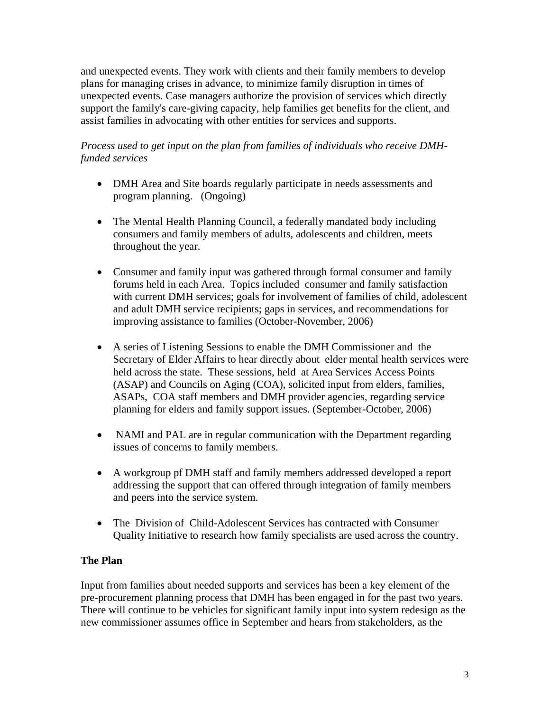and unexpected events. They work with clients and their family members to develop plans for managing crises in advance, to minimize family disruption in times of unexpected events. Case managers authorize the provision of services which directly support the family's care-giving capacity, help families get benefits for the client, and assist families in advocating with other entities for services and supports.

# *Process used to get input on the plan from families of individuals who receive DMHfunded services*

- DMH Area and Site boards regularly participate in needs assessments and program planning. (Ongoing)
- The Mental Health Planning Council, a federally mandated body including consumers and family members of adults, adolescents and children, meets throughout the year.
- Consumer and family input was gathered through formal consumer and family forums held in each Area. Topics included consumer and family satisfaction with current DMH services; goals for involvement of families of child, adolescent and adult DMH service recipients; gaps in services, and recommendations for improving assistance to families (October-November, 2006)
- A series of Listening Sessions to enable the DMH Commissioner and the Secretary of Elder Affairs to hear directly about elder mental health services were held across the state. These sessions, held at Area Services Access Points (ASAP) and Councils on Aging (COA), solicited input from elders, families, ASAPs, COA staff members and DMH provider agencies, regarding service planning for elders and family support issues. (September-October, 2006)
- NAMI and PAL are in regular communication with the Department regarding issues of concerns to family members.
- A workgroup pf DMH staff and family members addressed developed a report addressing the support that can offered through integration of family members and peers into the service system.
- The Division of Child-Adolescent Services has contracted with Consumer Quality Initiative to research how family specialists are used across the country.

# **The Plan**

Input from families about needed supports and services has been a key element of the pre-procurement planning process that DMH has been engaged in for the past two years. There will continue to be vehicles for significant family input into system redesign as the new commissioner assumes office in September and hears from stakeholders, as the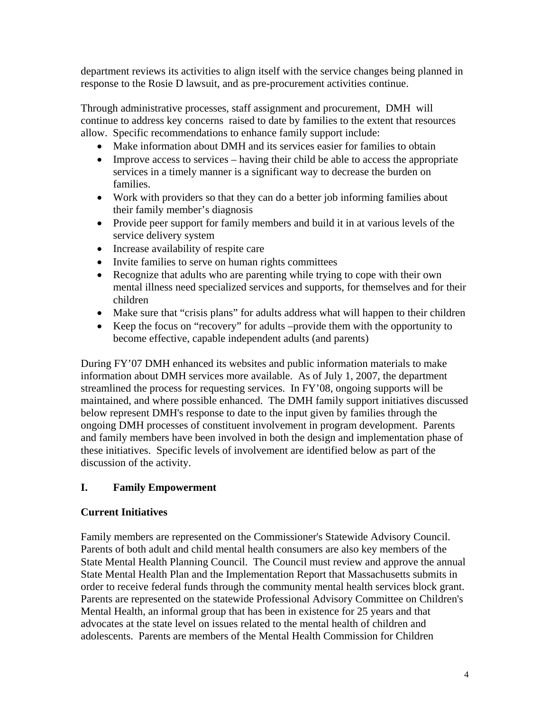department reviews its activities to align itself with the service changes being planned in response to the Rosie D lawsuit, and as pre-procurement activities continue.

Through administrative processes, staff assignment and procurement, DMH will continue to address key concerns raised to date by families to the extent that resources allow. Specific recommendations to enhance family support include:

- Make information about DMH and its services easier for families to obtain
- Improve access to services having their child be able to access the appropriate services in a timely manner is a significant way to decrease the burden on families.
- Work with providers so that they can do a better job informing families about their family member's diagnosis
- Provide peer support for family members and build it in at various levels of the service delivery system
- Increase availability of respite care
- Invite families to serve on human rights committees
- Recognize that adults who are parenting while trying to cope with their own mental illness need specialized services and supports, for themselves and for their children
- Make sure that "crisis plans" for adults address what will happen to their children
- Keep the focus on "recovery" for adults –provide them with the opportunity to become effective, capable independent adults (and parents)

During FY'07 DMH enhanced its websites and public information materials to make information about DMH services more available. As of July 1, 2007, the department streamlined the process for requesting services. In FY'08, ongoing supports will be maintained, and where possible enhanced. The DMH family support initiatives discussed below represent DMH's response to date to the input given by families through the ongoing DMH processes of constituent involvement in program development. Parents and family members have been involved in both the design and implementation phase of these initiatives. Specific levels of involvement are identified below as part of the discussion of the activity.

# **I. Family Empowerment**

# **Current Initiatives**

Family members are represented on the Commissioner's Statewide Advisory Council. Parents of both adult and child mental health consumers are also key members of the State Mental Health Planning Council. The Council must review and approve the annual State Mental Health Plan and the Implementation Report that Massachusetts submits in order to receive federal funds through the community mental health services block grant. Parents are represented on the statewide Professional Advisory Committee on Children's Mental Health, an informal group that has been in existence for 25 years and that advocates at the state level on issues related to the mental health of children and adolescents. Parents are members of the Mental Health Commission for Children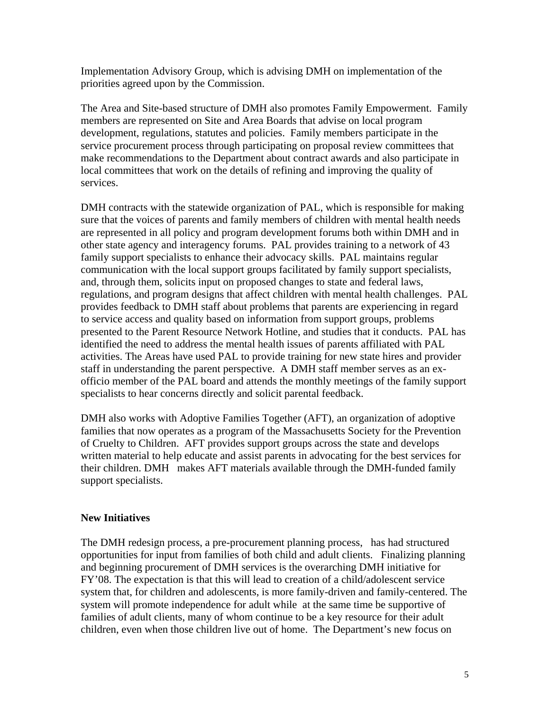Implementation Advisory Group, which is advising DMH on implementation of the priorities agreed upon by the Commission.

The Area and Site-based structure of DMH also promotes Family Empowerment. Family members are represented on Site and Area Boards that advise on local program development, regulations, statutes and policies. Family members participate in the service procurement process through participating on proposal review committees that make recommendations to the Department about contract awards and also participate in local committees that work on the details of refining and improving the quality of services.

DMH contracts with the statewide organization of PAL, which is responsible for making sure that the voices of parents and family members of children with mental health needs are represented in all policy and program development forums both within DMH and in other state agency and interagency forums. PAL provides training to a network of 43 family support specialists to enhance their advocacy skills. PAL maintains regular communication with the local support groups facilitated by family support specialists, and, through them, solicits input on proposed changes to state and federal laws, regulations, and program designs that affect children with mental health challenges. PAL provides feedback to DMH staff about problems that parents are experiencing in regard to service access and quality based on information from support groups, problems presented to the Parent Resource Network Hotline, and studies that it conducts. PAL has identified the need to address the mental health issues of parents affiliated with PAL activities. The Areas have used PAL to provide training for new state hires and provider staff in understanding the parent perspective. A DMH staff member serves as an exofficio member of the PAL board and attends the monthly meetings of the family support specialists to hear concerns directly and solicit parental feedback.

DMH also works with Adoptive Families Together (AFT), an organization of adoptive families that now operates as a program of the Massachusetts Society for the Prevention of Cruelty to Children. AFT provides support groups across the state and develops written material to help educate and assist parents in advocating for the best services for their children. DMH makes AFT materials available through the DMH-funded family support specialists.

## **New Initiatives**

The DMH redesign process, a pre-procurement planning process, has had structured opportunities for input from families of both child and adult clients. Finalizing planning and beginning procurement of DMH services is the overarching DMH initiative for FY'08. The expectation is that this will lead to creation of a child/adolescent service system that, for children and adolescents, is more family-driven and family-centered. The system will promote independence for adult while at the same time be supportive of families of adult clients, many of whom continue to be a key resource for their adult children, even when those children live out of home. The Department's new focus on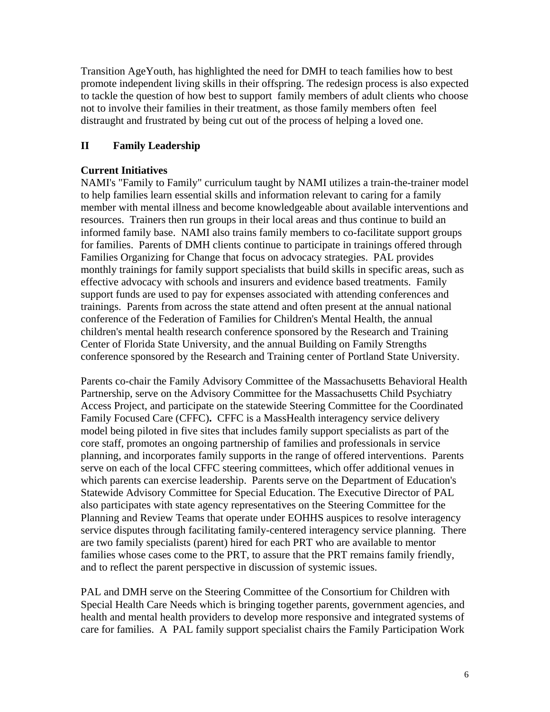Transition AgeYouth, has highlighted the need for DMH to teach families how to best promote independent living skills in their offspring. The redesign process is also expected to tackle the question of how best to support family members of adult clients who choose not to involve their families in their treatment, as those family members often feel distraught and frustrated by being cut out of the process of helping a loved one.

### **II Family Leadership**

### **Current Initiatives**

NAMI's "Family to Family" curriculum taught by NAMI utilizes a train-the-trainer model to help families learn essential skills and information relevant to caring for a family member with mental illness and become knowledgeable about available interventions and resources. Trainers then run groups in their local areas and thus continue to build an informed family base. NAMI also trains family members to co-facilitate support groups for families. Parents of DMH clients continue to participate in trainings offered through Families Organizing for Change that focus on advocacy strategies. PAL provides monthly trainings for family support specialists that build skills in specific areas, such as effective advocacy with schools and insurers and evidence based treatments. Family support funds are used to pay for expenses associated with attending conferences and trainings. Parents from across the state attend and often present at the annual national conference of the Federation of Families for Children's Mental Health, the annual children's mental health research conference sponsored by the Research and Training Center of Florida State University, and the annual Building on Family Strengths conference sponsored by the Research and Training center of Portland State University.

Parents co-chair the Family Advisory Committee of the Massachusetts Behavioral Health Partnership, serve on the Advisory Committee for the Massachusetts Child Psychiatry Access Project, and participate on the statewide Steering Committee for the Coordinated Family Focused Care (CFFC)**.** CFFC is a MassHealth interagency service delivery model being piloted in five sites that includes family support specialists as part of the core staff, promotes an ongoing partnership of families and professionals in service planning, and incorporates family supports in the range of offered interventions. Parents serve on each of the local CFFC steering committees, which offer additional venues in which parents can exercise leadership. Parents serve on the Department of Education's Statewide Advisory Committee for Special Education. The Executive Director of PAL also participates with state agency representatives on the Steering Committee for the Planning and Review Teams that operate under EOHHS auspices to resolve interagency service disputes through facilitating family-centered interagency service planning. There are two family specialists (parent) hired for each PRT who are available to mentor families whose cases come to the PRT, to assure that the PRT remains family friendly, and to reflect the parent perspective in discussion of systemic issues.

PAL and DMH serve on the Steering Committee of the Consortium for Children with Special Health Care Needs which is bringing together parents, government agencies, and health and mental health providers to develop more responsive and integrated systems of care for families. A PAL family support specialist chairs the Family Participation Work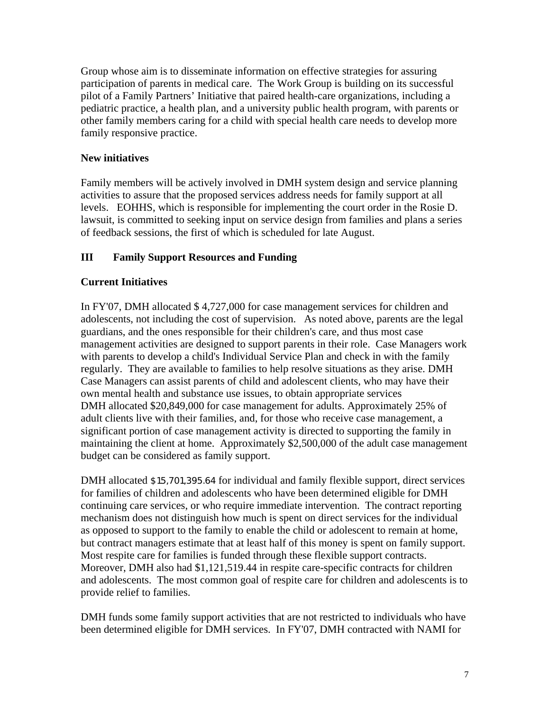Group whose aim is to disseminate information on effective strategies for assuring participation of parents in medical care. The Work Group is building on its successful pilot of a Family Partners' Initiative that paired health-care organizations, including a pediatric practice, a health plan, and a university public health program, with parents or other family members caring for a child with special health care needs to develop more family responsive practice.

## **New initiatives**

Family members will be actively involved in DMH system design and service planning activities to assure that the proposed services address needs for family support at all levels. EOHHS, which is responsible for implementing the court order in the Rosie D. lawsuit, is committed to seeking input on service design from families and plans a series of feedback sessions, the first of which is scheduled for late August.

# **III Family Support Resources and Funding**

# **Current Initiatives**

In FY'07, DMH allocated \$ 4,727,000 for case management services for children and adolescents, not including the cost of supervision. As noted above, parents are the legal guardians, and the ones responsible for their children's care, and thus most case management activities are designed to support parents in their role. Case Managers work with parents to develop a child's Individual Service Plan and check in with the family regularly. They are available to families to help resolve situations as they arise. DMH Case Managers can assist parents of child and adolescent clients, who may have their own mental health and substance use issues, to obtain appropriate services DMH allocated \$20,849,000 for case management for adults. Approximately 25% of adult clients live with their families, and, for those who receive case management, a significant portion of case management activity is directed to supporting the family in maintaining the client at home. Approximately \$2,500,000 of the adult case management budget can be considered as family support.

DMH allocated \$15,701,395.64 for individual and family flexible support, direct services for families of children and adolescents who have been determined eligible for DMH continuing care services, or who require immediate intervention. The contract reporting mechanism does not distinguish how much is spent on direct services for the individual as opposed to support to the family to enable the child or adolescent to remain at home, but contract managers estimate that at least half of this money is spent on family support. Most respite care for families is funded through these flexible support contracts. Moreover, DMH also had \$1,121,519.44 in respite care-specific contracts for children and adolescents. The most common goal of respite care for children and adolescents is to provide relief to families.

DMH funds some family support activities that are not restricted to individuals who have been determined eligible for DMH services. In FY'07, DMH contracted with NAMI for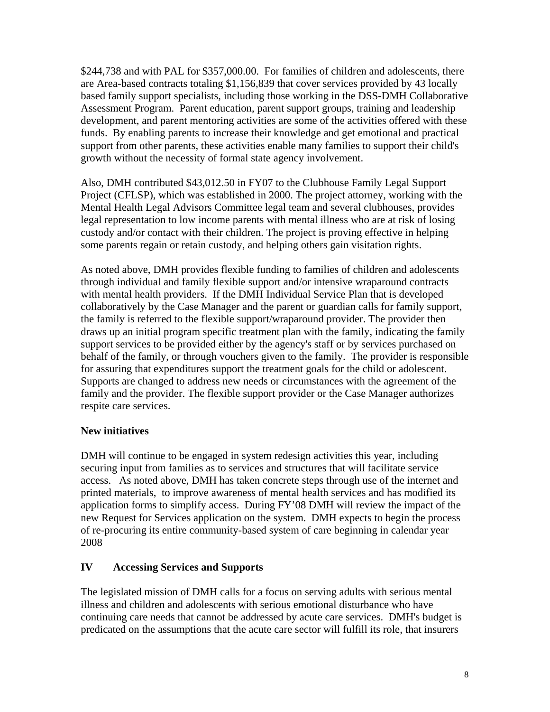\$244,738 and with PAL for \$357,000.00. For families of children and adolescents, there are Area-based contracts totaling \$1,156,839 that cover services provided by 43 locally based family support specialists, including those working in the DSS-DMH Collaborative Assessment Program. Parent education, parent support groups, training and leadership development, and parent mentoring activities are some of the activities offered with these funds. By enabling parents to increase their knowledge and get emotional and practical support from other parents, these activities enable many families to support their child's growth without the necessity of formal state agency involvement.

Also, DMH contributed \$43,012.50 in FY07 to the Clubhouse Family Legal Support Project (CFLSP), which was established in 2000. The project attorney, working with the Mental Health Legal Advisors Committee legal team and several clubhouses, provides legal representation to low income parents with mental illness who are at risk of losing custody and/or contact with their children. The project is proving effective in helping some parents regain or retain custody, and helping others gain visitation rights.

As noted above, DMH provides flexible funding to families of children and adolescents through individual and family flexible support and/or intensive wraparound contracts with mental health providers. If the DMH Individual Service Plan that is developed collaboratively by the Case Manager and the parent or guardian calls for family support, the family is referred to the flexible support/wraparound provider. The provider then draws up an initial program specific treatment plan with the family, indicating the family support services to be provided either by the agency's staff or by services purchased on behalf of the family, or through vouchers given to the family. The provider is responsible for assuring that expenditures support the treatment goals for the child or adolescent. Supports are changed to address new needs or circumstances with the agreement of the family and the provider. The flexible support provider or the Case Manager authorizes respite care services.

## **New initiatives**

DMH will continue to be engaged in system redesign activities this year, including securing input from families as to services and structures that will facilitate service access. As noted above, DMH has taken concrete steps through use of the internet and printed materials, to improve awareness of mental health services and has modified its application forms to simplify access. During FY'08 DMH will review the impact of the new Request for Services application on the system. DMH expects to begin the process of re-procuring its entire community-based system of care beginning in calendar year 2008

## **IV Accessing Services and Supports**

The legislated mission of DMH calls for a focus on serving adults with serious mental illness and children and adolescents with serious emotional disturbance who have continuing care needs that cannot be addressed by acute care services. DMH's budget is predicated on the assumptions that the acute care sector will fulfill its role, that insurers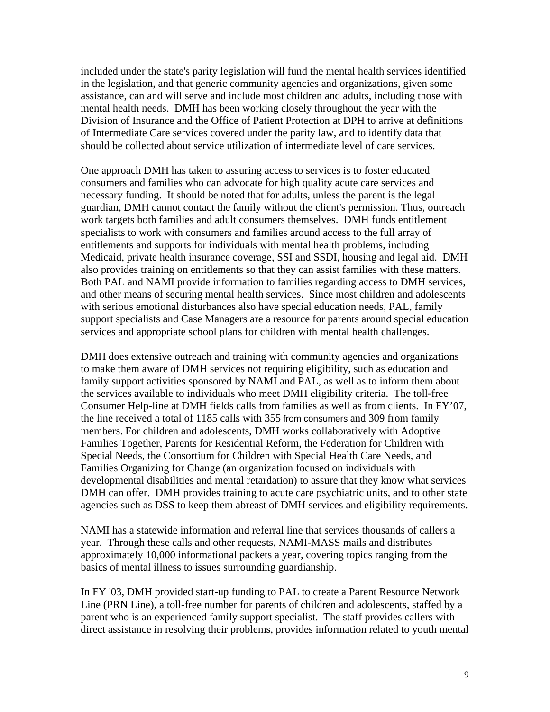included under the state's parity legislation will fund the mental health services identified in the legislation, and that generic community agencies and organizations, given some assistance, can and will serve and include most children and adults, including those with mental health needs. DMH has been working closely throughout the year with the Division of Insurance and the Office of Patient Protection at DPH to arrive at definitions of Intermediate Care services covered under the parity law, and to identify data that should be collected about service utilization of intermediate level of care services.

One approach DMH has taken to assuring access to services is to foster educated consumers and families who can advocate for high quality acute care services and necessary funding. It should be noted that for adults, unless the parent is the legal guardian, DMH cannot contact the family without the client's permission. Thus, outreach work targets both families and adult consumers themselves. DMH funds entitlement specialists to work with consumers and families around access to the full array of entitlements and supports for individuals with mental health problems, including Medicaid, private health insurance coverage, SSI and SSDI, housing and legal aid. DMH also provides training on entitlements so that they can assist families with these matters. Both PAL and NAMI provide information to families regarding access to DMH services, and other means of securing mental health services. Since most children and adolescents with serious emotional disturbances also have special education needs, PAL, family support specialists and Case Managers are a resource for parents around special education services and appropriate school plans for children with mental health challenges.

DMH does extensive outreach and training with community agencies and organizations to make them aware of DMH services not requiring eligibility, such as education and family support activities sponsored by NAMI and PAL, as well as to inform them about the services available to individuals who meet DMH eligibility criteria. The toll-free Consumer Help-line at DMH fields calls from families as well as from clients. In FY'07, the line received a total of 1185 calls with 355 from consumers and 309 from family members. For children and adolescents, DMH works collaboratively with Adoptive Families Together, Parents for Residential Reform, the Federation for Children with Special Needs, the Consortium for Children with Special Health Care Needs, and Families Organizing for Change (an organization focused on individuals with developmental disabilities and mental retardation) to assure that they know what services DMH can offer. DMH provides training to acute care psychiatric units, and to other state agencies such as DSS to keep them abreast of DMH services and eligibility requirements.

NAMI has a statewide information and referral line that services thousands of callers a year. Through these calls and other requests, NAMI-MASS mails and distributes approximately 10,000 informational packets a year, covering topics ranging from the basics of mental illness to issues surrounding guardianship.

In FY '03, DMH provided start-up funding to PAL to create a Parent Resource Network Line (PRN Line), a toll-free number for parents of children and adolescents, staffed by a parent who is an experienced family support specialist. The staff provides callers with direct assistance in resolving their problems, provides information related to youth mental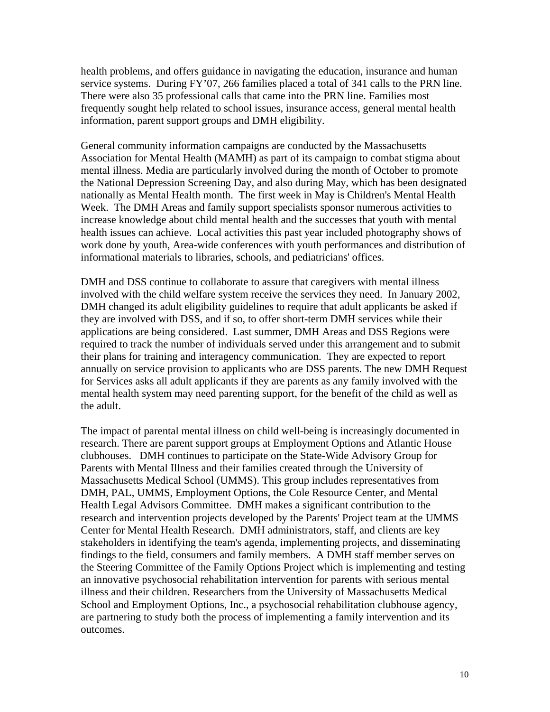health problems, and offers guidance in navigating the education, insurance and human service systems. During FY'07, 266 families placed a total of 341 calls to the PRN line. There were also 35 professional calls that came into the PRN line. Families most frequently sought help related to school issues, insurance access, general mental health information, parent support groups and DMH eligibility.

General community information campaigns are conducted by the Massachusetts Association for Mental Health (MAMH) as part of its campaign to combat stigma about mental illness. Media are particularly involved during the month of October to promote the National Depression Screening Day, and also during May, which has been designated nationally as Mental Health month. The first week in May is Children's Mental Health Week. The DMH Areas and family support specialists sponsor numerous activities to increase knowledge about child mental health and the successes that youth with mental health issues can achieve. Local activities this past year included photography shows of work done by youth, Area-wide conferences with youth performances and distribution of informational materials to libraries, schools, and pediatricians' offices.

DMH and DSS continue to collaborate to assure that caregivers with mental illness involved with the child welfare system receive the services they need. In January 2002, DMH changed its adult eligibility guidelines to require that adult applicants be asked if they are involved with DSS, and if so, to offer short-term DMH services while their applications are being considered. Last summer, DMH Areas and DSS Regions were required to track the number of individuals served under this arrangement and to submit their plans for training and interagency communication. They are expected to report annually on service provision to applicants who are DSS parents. The new DMH Request for Services asks all adult applicants if they are parents as any family involved with the mental health system may need parenting support, for the benefit of the child as well as the adult.

The impact of parental mental illness on child well-being is increasingly documented in research. There are parent support groups at Employment Options and Atlantic House clubhouses. DMH continues to participate on the State-Wide Advisory Group for Parents with Mental Illness and their families created through the University of Massachusetts Medical School (UMMS). This group includes representatives from DMH, PAL, UMMS, Employment Options, the Cole Resource Center, and Mental Health Legal Advisors Committee. DMH makes a significant contribution to the research and intervention projects developed by the Parents' Project team at the UMMS Center for Mental Health Research. DMH administrators, staff, and clients are key stakeholders in identifying the team's agenda, implementing projects, and disseminating findings to the field, consumers and family members. A DMH staff member serves on the Steering Committee of the Family Options Project which is implementing and testing an innovative psychosocial rehabilitation intervention for parents with serious mental illness and their children. Researchers from the University of Massachusetts Medical School and Employment Options, Inc., a psychosocial rehabilitation clubhouse agency, are partnering to study both the process of implementing a family intervention and its outcomes.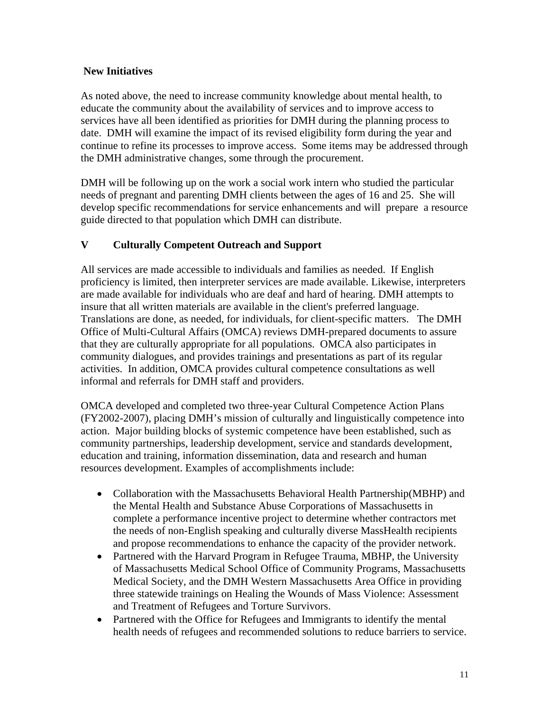## **New Initiatives**

As noted above, the need to increase community knowledge about mental health, to educate the community about the availability of services and to improve access to services have all been identified as priorities for DMH during the planning process to date. DMH will examine the impact of its revised eligibility form during the year and continue to refine its processes to improve access. Some items may be addressed through the DMH administrative changes, some through the procurement.

DMH will be following up on the work a social work intern who studied the particular needs of pregnant and parenting DMH clients between the ages of 16 and 25. She will develop specific recommendations for service enhancements and will prepare a resource guide directed to that population which DMH can distribute.

# **V Culturally Competent Outreach and Support**

All services are made accessible to individuals and families as needed. If English proficiency is limited, then interpreter services are made available. Likewise, interpreters are made available for individuals who are deaf and hard of hearing. DMH attempts to insure that all written materials are available in the client's preferred language. Translations are done, as needed, for individuals, for client-specific matters. The DMH Office of Multi-Cultural Affairs (OMCA) reviews DMH-prepared documents to assure that they are culturally appropriate for all populations. OMCA also participates in community dialogues, and provides trainings and presentations as part of its regular activities. In addition, OMCA provides cultural competence consultations as well informal and referrals for DMH staff and providers.

OMCA developed and completed two three-year Cultural Competence Action Plans (FY2002-2007), placing DMH's mission of culturally and linguistically competence into action. Major building blocks of systemic competence have been established, such as community partnerships, leadership development, service and standards development, education and training, information dissemination, data and research and human resources development. Examples of accomplishments include:

- Collaboration with the Massachusetts Behavioral Health Partnership(MBHP) and the Mental Health and Substance Abuse Corporations of Massachusetts in complete a performance incentive project to determine whether contractors met the needs of non-English speaking and culturally diverse MassHealth recipients and propose recommendations to enhance the capacity of the provider network.
- Partnered with the Harvard Program in Refugee Trauma, MBHP, the University of Massachusetts Medical School Office of Community Programs, Massachusetts Medical Society, and the DMH Western Massachusetts Area Office in providing three statewide trainings on Healing the Wounds of Mass Violence: Assessment and Treatment of Refugees and Torture Survivors.
- Partnered with the Office for Refugees and Immigrants to identify the mental health needs of refugees and recommended solutions to reduce barriers to service.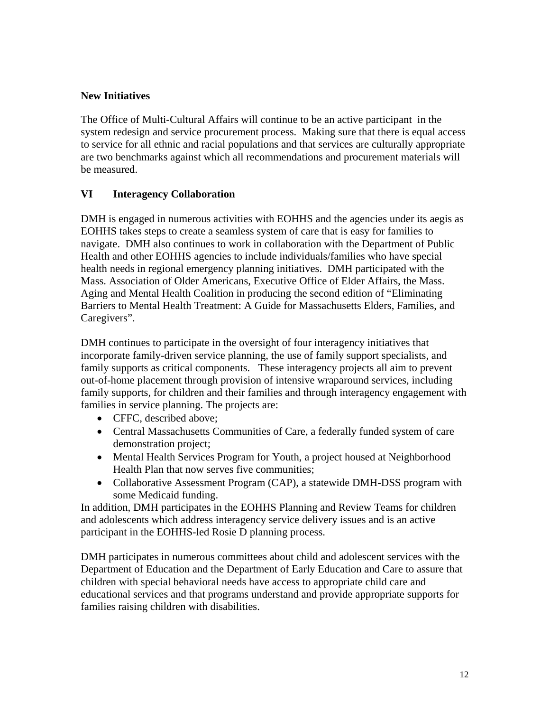## **New Initiatives**

The Office of Multi-Cultural Affairs will continue to be an active participant in the system redesign and service procurement process. Making sure that there is equal access to service for all ethnic and racial populations and that services are culturally appropriate are two benchmarks against which all recommendations and procurement materials will be measured.

# **VI Interagency Collaboration**

DMH is engaged in numerous activities with EOHHS and the agencies under its aegis as EOHHS takes steps to create a seamless system of care that is easy for families to navigate. DMH also continues to work in collaboration with the Department of Public Health and other EOHHS agencies to include individuals/families who have special health needs in regional emergency planning initiatives. DMH participated with the Mass. Association of Older Americans, Executive Office of Elder Affairs, the Mass. Aging and Mental Health Coalition in producing the second edition of "Eliminating Barriers to Mental Health Treatment: A Guide for Massachusetts Elders, Families, and Caregivers".

DMH continues to participate in the oversight of four interagency initiatives that incorporate family-driven service planning, the use of family support specialists, and family supports as critical components. These interagency projects all aim to prevent out-of-home placement through provision of intensive wraparound services, including family supports, for children and their families and through interagency engagement with families in service planning. The projects are:

- CFFC, described above;
- Central Massachusetts Communities of Care, a federally funded system of care demonstration project;
- Mental Health Services Program for Youth, a project housed at Neighborhood Health Plan that now serves five communities;
- Collaborative Assessment Program (CAP), a statewide DMH-DSS program with some Medicaid funding.

In addition, DMH participates in the EOHHS Planning and Review Teams for children and adolescents which address interagency service delivery issues and is an active participant in the EOHHS-led Rosie D planning process.

DMH participates in numerous committees about child and adolescent services with the Department of Education and the Department of Early Education and Care to assure that children with special behavioral needs have access to appropriate child care and educational services and that programs understand and provide appropriate supports for families raising children with disabilities.